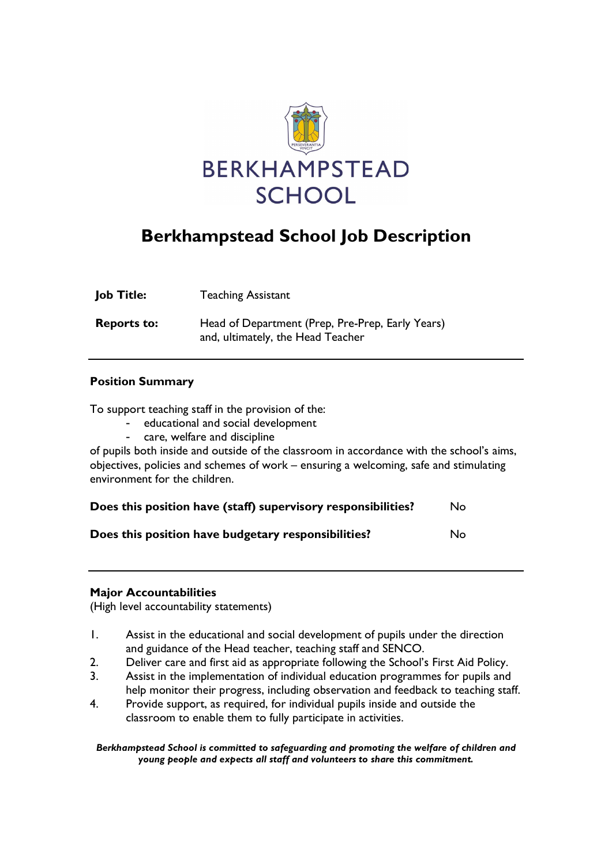

# Berkhampstead School Job Description

| <b>Job Title:</b>  | <b>Teaching Assistant</b>                                                             |
|--------------------|---------------------------------------------------------------------------------------|
| <b>Reports to:</b> | Head of Department (Prep, Pre-Prep, Early Years)<br>and, ultimately, the Head Teacher |

### Position Summary

To support teaching staff in the provision of the:

- educational and social development
- care, welfare and discipline

of pupils both inside and outside of the classroom in accordance with the school's aims, objectives, policies and schemes of work – ensuring a welcoming, safe and stimulating environment for the children.

| Does this position have (staff) supervisory responsibilities? | No. |
|---------------------------------------------------------------|-----|
| Does this position have budgetary responsibilities?           | No. |

#### Major Accountabilities

(High level accountability statements)

- 1. Assist in the educational and social development of pupils under the direction and guidance of the Head teacher, teaching staff and SENCO.
- 2. Deliver care and first aid as appropriate following the School's First Aid Policy.
- 3. Assist in the implementation of individual education programmes for pupils and help monitor their progress, including observation and feedback to teaching staff.
- 4. Provide support, as required, for individual pupils inside and outside the classroom to enable them to fully participate in activities.

Berkhampstead School is committed to safeguarding and promoting the welfare of children and young people and expects all staff and volunteers to share this commitment.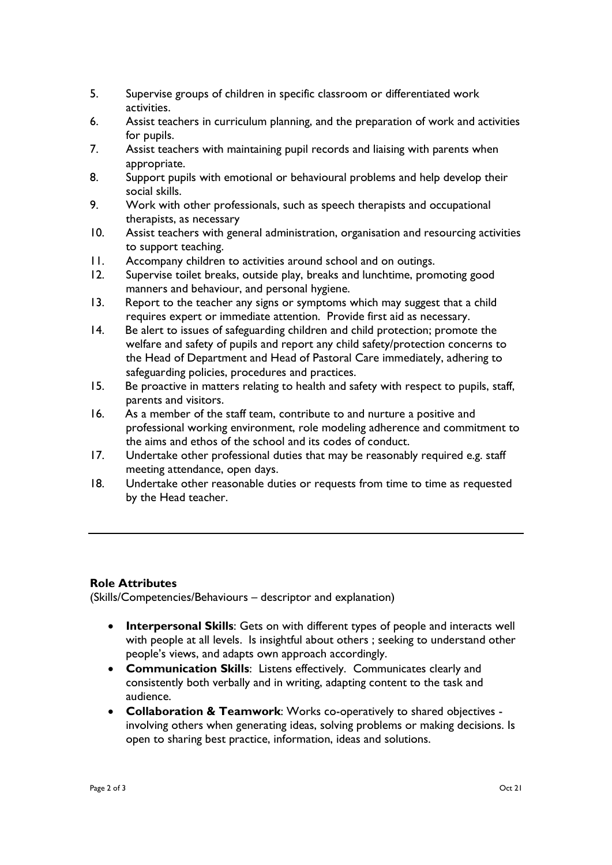- 5. Supervise groups of children in specific classroom or differentiated work activities.
- 6. Assist teachers in curriculum planning, and the preparation of work and activities for pupils.
- 7. Assist teachers with maintaining pupil records and liaising with parents when appropriate.
- 8. Support pupils with emotional or behavioural problems and help develop their social skills.
- 9. Work with other professionals, such as speech therapists and occupational therapists, as necessary
- 10. Assist teachers with general administration, organisation and resourcing activities to support teaching.
- 11. Accompany children to activities around school and on outings.
- 12. Supervise toilet breaks, outside play, breaks and lunchtime, promoting good manners and behaviour, and personal hygiene.
- 13. Report to the teacher any signs or symptoms which may suggest that a child requires expert or immediate attention. Provide first aid as necessary.
- 14. Be alert to issues of safeguarding children and child protection; promote the welfare and safety of pupils and report any child safety/protection concerns to the Head of Department and Head of Pastoral Care immediately, adhering to safeguarding policies, procedures and practices.
- 15. Be proactive in matters relating to health and safety with respect to pupils, staff, parents and visitors.
- 16. As a member of the staff team, contribute to and nurture a positive and professional working environment, role modeling adherence and commitment to the aims and ethos of the school and its codes of conduct.
- 17. Undertake other professional duties that may be reasonably required e.g. staff meeting attendance, open days.
- 18. Undertake other reasonable duties or requests from time to time as requested by the Head teacher.

## Role Attributes

(Skills/Competencies/Behaviours – descriptor and explanation)

- Interpersonal Skills: Gets on with different types of people and interacts well with people at all levels. Is insightful about others ; seeking to understand other people's views, and adapts own approach accordingly.
- Communication Skills: Listens effectively. Communicates clearly and consistently both verbally and in writing, adapting content to the task and audience.
- Collaboration & Teamwork: Works co-operatively to shared objectives involving others when generating ideas, solving problems or making decisions. Is open to sharing best practice, information, ideas and solutions.